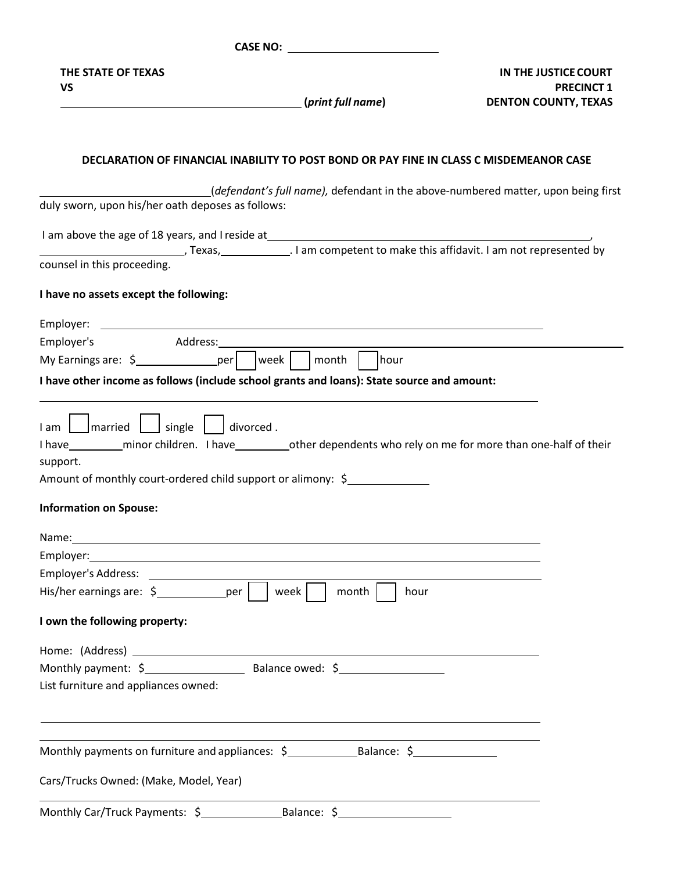**CASE NO: THE STATE OF TEXAS VS (***print full name***) IN THE JUSTICE COURT PRECINCT 1 DENTON COUNTY, TEXAS DECLARATION OF FINANCIAL INABILITY TO POST BOND OR PAY FINE IN CLASS C MISDEMEANOR CASE** (*defendant's full name),* defendant in the above‐numbered matter, upon being first duly sworn, upon his/her oath deposes as follows: I am above the age of 18 years, and I reside at , Texas, . I am competent to make this affidavit. I am not represented by counsel in this proceeding. **I have no assets except the following:** Employer: Employer's Address: My Earnings are:  $\sinh \theta$  = per week month month week month hour **I have other income as follows (include school grants and loans): State source and amount:**  $\lceil$  1 am  $\lceil$   $\lceil$  married  $\lceil$   $\lceil$  single  $\lceil$   $\lceil$  divorced . I have \_\_\_\_\_\_\_\_\_\_\_ minor children. I have \_\_\_\_\_\_\_\_\_\_\_\_other dependents who rely on me for more than one-half of their support. Amount of monthly court-ordered child support or alimony: \$ **Information on Spouse:** Name: Name and the second contract of the second contract of the second contract of the second contract of the second contract of the second contract of the second contract of the second contract of the second contract of Employer: Employer's Address: His/her earnings are:  $\frac{2}{3}$  per | | week | | month | | hour **I own the following property:** Home: (Address) Monthly payment: \$ Balance owed: \$ List furniture and appliances owned: Monthly payments on furniture and appliances:  $\frac{1}{2}$  Balance:  $\frac{1}{2}$ Cars/Trucks Owned: (Make, Model, Year) Monthly Car/Truck Payments:  $\sim$  Balance:  $\sim$  Balance:  $\sim$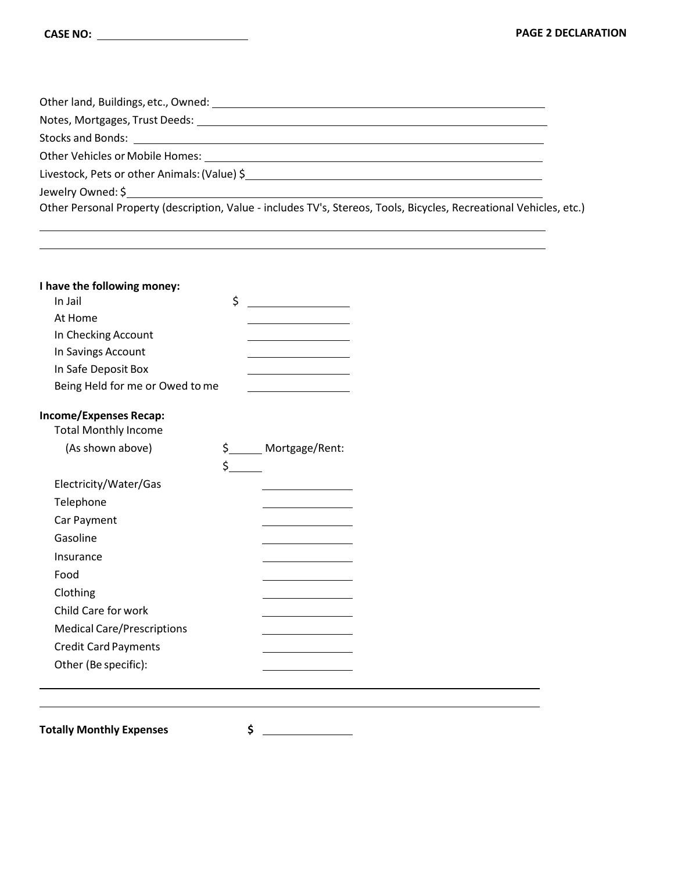| Livestock, Pets or other Animals: (Value) \$                                                                        |  |
|---------------------------------------------------------------------------------------------------------------------|--|
|                                                                                                                     |  |
| Other Personal Property (description, Value - includes TV's, Stereos, Tools, Bicycles, Recreational Vehicles, etc.) |  |

,我们也不会有一个人的人,我们也不会有一个人的人,我们也不会有一个人的人。""我们,我们也不会有一个人的人,我们也不会有一个人的人,我们也不会有一个人的人。""我

| I have the following money:       |         |                |
|-----------------------------------|---------|----------------|
| In Jail                           | \$      |                |
| At Home                           |         |                |
| In Checking Account               |         |                |
| In Savings Account                |         |                |
| In Safe Deposit Box               |         |                |
| Being Held for me or Owed to me   |         |                |
| <b>Income/Expenses Recap:</b>     |         |                |
| <b>Total Monthly Income</b>       |         |                |
| (As shown above)                  | $\zeta$ | Mortgage/Rent: |
|                                   | \$      |                |
| Electricity/Water/Gas             |         |                |
| Telephone                         |         |                |
| Car Payment                       |         |                |
| Gasoline                          |         |                |
| Insurance                         |         |                |
| Food                              |         |                |
| Clothing                          |         |                |
| Child Care for work               |         |                |
| <b>Medical Care/Prescriptions</b> |         |                |
| <b>Credit Card Payments</b>       |         |                |
| Other (Be specific):              |         |                |
|                                   |         |                |

**Totally Monthly Expenses \$**